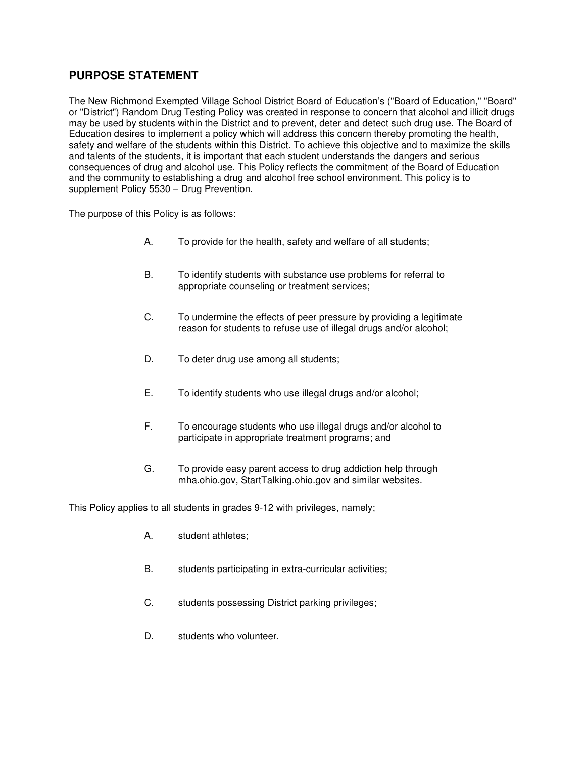# **PURPOSE STATEMENT**

The New Richmond Exempted Village School District Board of Education's ("Board of Education," "Board" or "District") Random Drug Testing Policy was created in response to concern that alcohol and illicit drugs may be used by students within the District and to prevent, deter and detect such drug use. The Board of Education desires to implement a policy which will address this concern thereby promoting the health, safety and welfare of the students within this District. To achieve this objective and to maximize the skills and talents of the students, it is important that each student understands the dangers and serious consequences of drug and alcohol use. This Policy reflects the commitment of the Board of Education and the community to establishing a drug and alcohol free school environment. This policy is to supplement Policy 5530 – Drug Prevention.

The purpose of this Policy is as follows:

- A. To provide for the health, safety and welfare of all students;
- B. To identify students with substance use problems for referral to appropriate counseling or treatment services;
- C. To undermine the effects of peer pressure by providing a legitimate reason for students to refuse use of illegal drugs and/or alcohol;
- D. To deter drug use among all students;
- E. To identify students who use illegal drugs and/or alcohol;
- F. To encourage students who use illegal drugs and/or alcohol to participate in appropriate treatment programs; and
- G. To provide easy parent access to drug addiction help through mha.ohio.gov, StartTalking.ohio.gov and similar websites.

This Policy applies to all students in grades 9-12 with privileges, namely;

- A. student athletes;
- B. students participating in extra-curricular activities;
- C. students possessing District parking privileges;
- D. students who volunteer.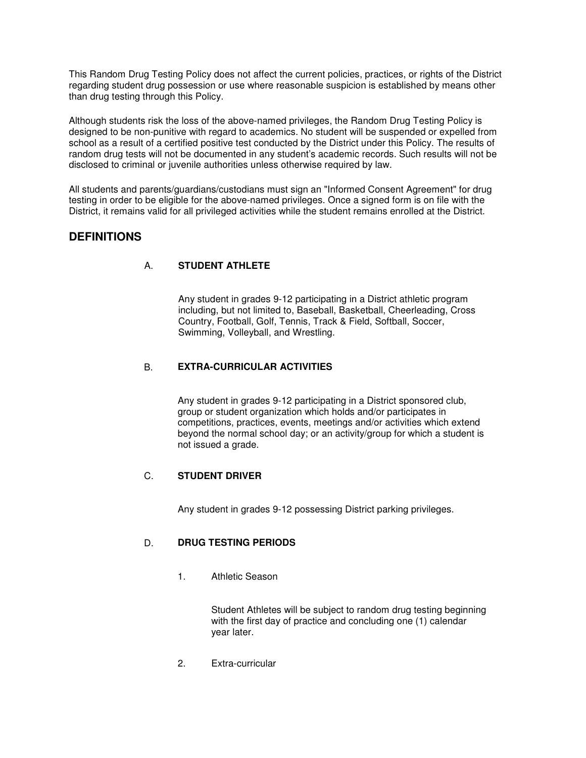This Random Drug Testing Policy does not affect the current policies, practices, or rights of the District regarding student drug possession or use where reasonable suspicion is established by means other than drug testing through this Policy.

Although students risk the loss of the above-named privileges, the Random Drug Testing Policy is designed to be non-punitive with regard to academics. No student will be suspended or expelled from school as a result of a certified positive test conducted by the District under this Policy. The results of random drug tests will not be documented in any student's academic records. Such results will not be disclosed to criminal or juvenile authorities unless otherwise required by law.

All students and parents/guardians/custodians must sign an "Informed Consent Agreement" for drug testing in order to be eligible for the above-named privileges. Once a signed form is on file with the District, it remains valid for all privileged activities while the student remains enrolled at the District.

# **DEFINITIONS**

## A. **STUDENT ATHLETE**

 Any student in grades 9-12 participating in a District athletic program including, but not limited to, Baseball, Basketball, Cheerleading, Cross Country, Football, Golf, Tennis, Track & Field, Softball, Soccer, Swimming, Volleyball, and Wrestling.

### B. **EXTRA-CURRICULAR ACTIVITIES**

 Any student in grades 9-12 participating in a District sponsored club, group or student organization which holds and/or participates in competitions, practices, events, meetings and/or activities which extend beyond the normal school day; or an activity/group for which a student is not issued a grade.

#### C. **STUDENT DRIVER**

Any student in grades 9-12 possessing District parking privileges.

## D. **DRUG TESTING PERIODS**

1. Athletic Season

 Student Athletes will be subject to random drug testing beginning with the first day of practice and concluding one (1) calendar year later.

2. Extra-curricular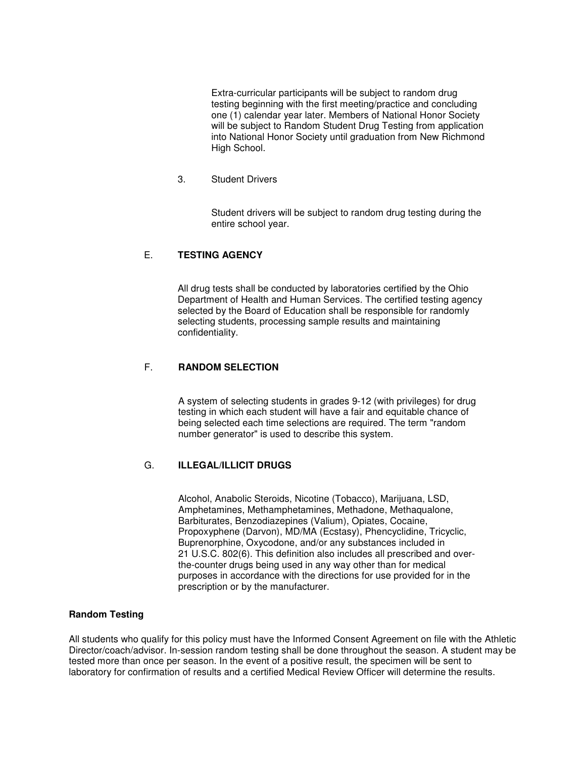Extra-curricular participants will be subject to random drug testing beginning with the first meeting/practice and concluding one (1) calendar year later. Members of National Honor Society will be subject to Random Student Drug Testing from application into National Honor Society until graduation from New Richmond High School.

3. Student Drivers

 Student drivers will be subject to random drug testing during the entire school year.

#### E. **TESTING AGENCY**

 All drug tests shall be conducted by laboratories certified by the Ohio Department of Health and Human Services. The certified testing agency selected by the Board of Education shall be responsible for randomly selecting students, processing sample results and maintaining confidentiality.

#### F. **RANDOM SELECTION**

 A system of selecting students in grades 9-12 (with privileges) for drug testing in which each student will have a fair and equitable chance of being selected each time selections are required. The term "random number generator" is used to describe this system.

#### G. **ILLEGAL/ILLICIT DRUGS**

 Alcohol, Anabolic Steroids, Nicotine (Tobacco), Marijuana, LSD, Amphetamines, Methamphetamines, Methadone, Methaqualone, Barbiturates, Benzodiazepines (Valium), Opiates, Cocaine, Propoxyphene (Darvon), MD/MA (Ecstasy), Phencyclidine, Tricyclic, Buprenorphine, Oxycodone, and/or any substances included in 21 U.S.C. 802(6). This definition also includes all prescribed and overthe-counter drugs being used in any way other than for medical purposes in accordance with the directions for use provided for in the prescription or by the manufacturer.

#### **Random Testing**

All students who qualify for this policy must have the Informed Consent Agreement on file with the Athletic Director/coach/advisor. In-session random testing shall be done throughout the season. A student may be tested more than once per season. In the event of a positive result, the specimen will be sent to laboratory for confirmation of results and a certified Medical Review Officer will determine the results.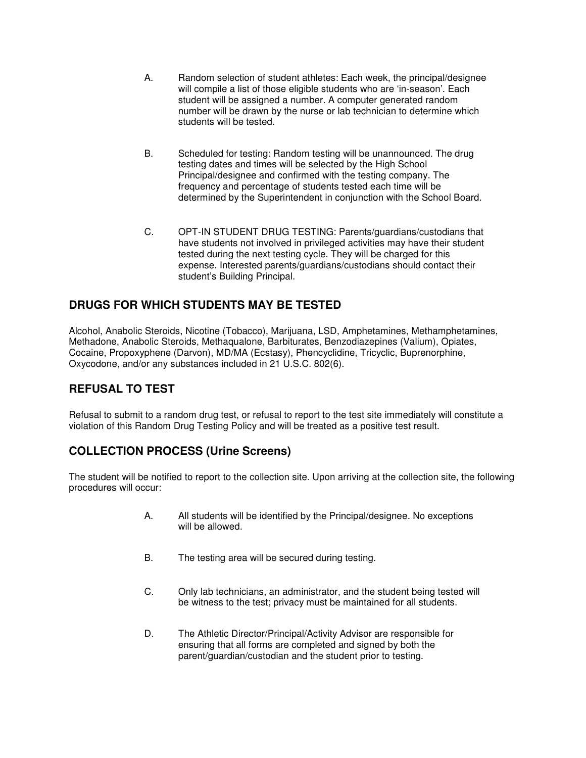- A. Random selection of student athletes: Each week, the principal/designee will compile a list of those eligible students who are 'in-season'. Each student will be assigned a number. A computer generated random number will be drawn by the nurse or lab technician to determine which students will be tested.
- B. Scheduled for testing: Random testing will be unannounced. The drug testing dates and times will be selected by the High School Principal/designee and confirmed with the testing company. The frequency and percentage of students tested each time will be determined by the Superintendent in conjunction with the School Board.
- C. OPT-IN STUDENT DRUG TESTING: Parents/guardians/custodians that have students not involved in privileged activities may have their student tested during the next testing cycle. They will be charged for this expense. Interested parents/guardians/custodians should contact their student's Building Principal.

# **DRUGS FOR WHICH STUDENTS MAY BE TESTED**

Alcohol, Anabolic Steroids, Nicotine (Tobacco), Marijuana, LSD, Amphetamines, Methamphetamines, Methadone, Anabolic Steroids, Methaqualone, Barbiturates, Benzodiazepines (Valium), Opiates, Cocaine, Propoxyphene (Darvon), MD/MA (Ecstasy), Phencyclidine, Tricyclic, Buprenorphine, Oxycodone, and/or any substances included in 21 U.S.C. 802(6).

# **REFUSAL TO TEST**

Refusal to submit to a random drug test, or refusal to report to the test site immediately will constitute a violation of this Random Drug Testing Policy and will be treated as a positive test result.

# **COLLECTION PROCESS (Urine Screens)**

The student will be notified to report to the collection site. Upon arriving at the collection site, the following procedures will occur:

- A. All students will be identified by the Principal/designee. No exceptions will be allowed.
- B. The testing area will be secured during testing.
- C. Only lab technicians, an administrator, and the student being tested will be witness to the test; privacy must be maintained for all students.
- D. The Athletic Director/Principal/Activity Advisor are responsible for ensuring that all forms are completed and signed by both the parent/guardian/custodian and the student prior to testing.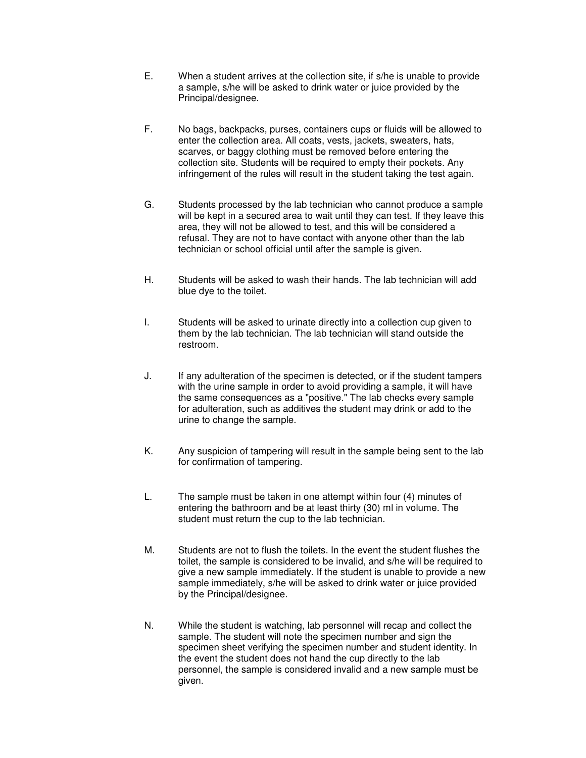- E. When a student arrives at the collection site, if s/he is unable to provide a sample, s/he will be asked to drink water or juice provided by the Principal/designee.
- F. No bags, backpacks, purses, containers cups or fluids will be allowed to enter the collection area. All coats, vests, jackets, sweaters, hats, scarves, or baggy clothing must be removed before entering the collection site. Students will be required to empty their pockets. Any infringement of the rules will result in the student taking the test again.
- G. Students processed by the lab technician who cannot produce a sample will be kept in a secured area to wait until they can test. If they leave this area, they will not be allowed to test, and this will be considered a refusal. They are not to have contact with anyone other than the lab technician or school official until after the sample is given.
- H. Students will be asked to wash their hands. The lab technician will add blue dye to the toilet.
- I. Students will be asked to urinate directly into a collection cup given to them by the lab technician. The lab technician will stand outside the restroom.
- J. If any adulteration of the specimen is detected, or if the student tampers with the urine sample in order to avoid providing a sample, it will have the same consequences as a "positive." The lab checks every sample for adulteration, such as additives the student may drink or add to the urine to change the sample.
- K. Any suspicion of tampering will result in the sample being sent to the lab for confirmation of tampering.
- L. The sample must be taken in one attempt within four (4) minutes of entering the bathroom and be at least thirty (30) ml in volume. The student must return the cup to the lab technician.
- M. Students are not to flush the toilets. In the event the student flushes the toilet, the sample is considered to be invalid, and s/he will be required to give a new sample immediately. If the student is unable to provide a new sample immediately, s/he will be asked to drink water or juice provided by the Principal/designee.
- N. While the student is watching, lab personnel will recap and collect the sample. The student will note the specimen number and sign the specimen sheet verifying the specimen number and student identity. In the event the student does not hand the cup directly to the lab personnel, the sample is considered invalid and a new sample must be given.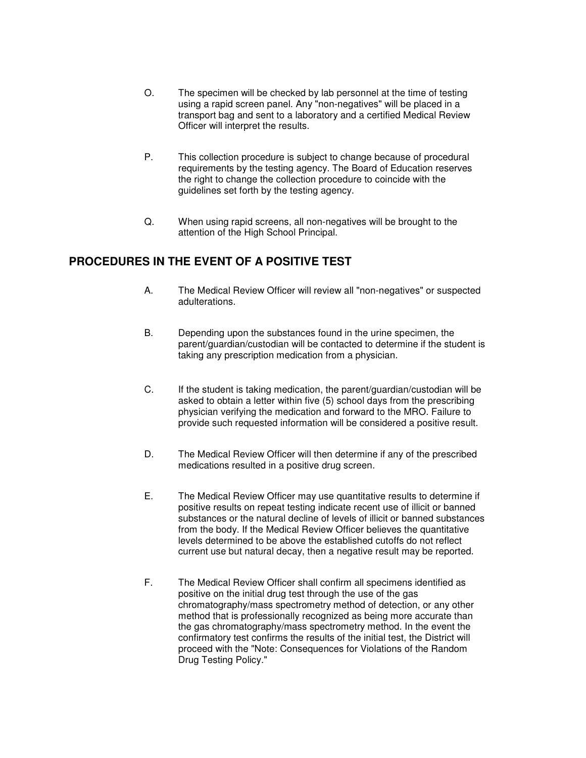- O. The specimen will be checked by lab personnel at the time of testing using a rapid screen panel. Any "non-negatives" will be placed in a transport bag and sent to a laboratory and a certified Medical Review Officer will interpret the results.
- P. This collection procedure is subject to change because of procedural requirements by the testing agency. The Board of Education reserves the right to change the collection procedure to coincide with the guidelines set forth by the testing agency.
- Q. When using rapid screens, all non-negatives will be brought to the attention of the High School Principal.

# **PROCEDURES IN THE EVENT OF A POSITIVE TEST**

- A. The Medical Review Officer will review all "non-negatives" or suspected adulterations.
- B. Depending upon the substances found in the urine specimen, the parent/guardian/custodian will be contacted to determine if the student is taking any prescription medication from a physician.
- C. If the student is taking medication, the parent/guardian/custodian will be asked to obtain a letter within five (5) school days from the prescribing physician verifying the medication and forward to the MRO. Failure to provide such requested information will be considered a positive result.
- D. The Medical Review Officer will then determine if any of the prescribed medications resulted in a positive drug screen.
- E. The Medical Review Officer may use quantitative results to determine if positive results on repeat testing indicate recent use of illicit or banned substances or the natural decline of levels of illicit or banned substances from the body. If the Medical Review Officer believes the quantitative levels determined to be above the established cutoffs do not reflect current use but natural decay, then a negative result may be reported.
- F. The Medical Review Officer shall confirm all specimens identified as positive on the initial drug test through the use of the gas chromatography/mass spectrometry method of detection, or any other method that is professionally recognized as being more accurate than the gas chromatography/mass spectrometry method. In the event the confirmatory test confirms the results of the initial test, the District will proceed with the "Note: Consequences for Violations of the Random Drug Testing Policy."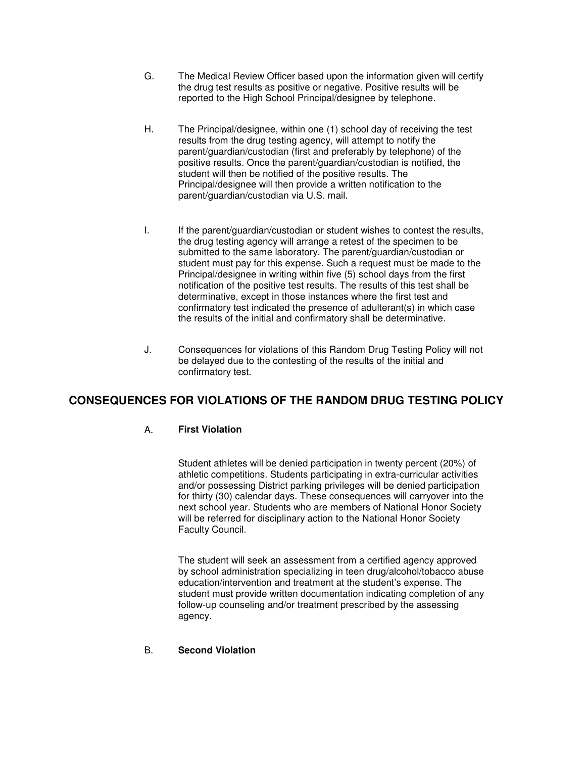- G. The Medical Review Officer based upon the information given will certify the drug test results as positive or negative. Positive results will be reported to the High School Principal/designee by telephone.
- H. The Principal/designee, within one (1) school day of receiving the test results from the drug testing agency, will attempt to notify the parent/guardian/custodian (first and preferably by telephone) of the positive results. Once the parent/guardian/custodian is notified, the student will then be notified of the positive results. The Principal/designee will then provide a written notification to the parent/guardian/custodian via U.S. mail.
- I. If the parent/guardian/custodian or student wishes to contest the results, the drug testing agency will arrange a retest of the specimen to be submitted to the same laboratory. The parent/guardian/custodian or student must pay for this expense. Such a request must be made to the Principal/designee in writing within five (5) school days from the first notification of the positive test results. The results of this test shall be determinative, except in those instances where the first test and confirmatory test indicated the presence of adulterant(s) in which case the results of the initial and confirmatory shall be determinative.
- J. Consequences for violations of this Random Drug Testing Policy will not be delayed due to the contesting of the results of the initial and confirmatory test.

# **CONSEQUENCES FOR VIOLATIONS OF THE RANDOM DRUG TESTING POLICY**

## A. **First Violation**

 Student athletes will be denied participation in twenty percent (20%) of athletic competitions. Students participating in extra-curricular activities and/or possessing District parking privileges will be denied participation for thirty (30) calendar days. These consequences will carryover into the next school year. Students who are members of National Honor Society will be referred for disciplinary action to the National Honor Society Faculty Council.

 The student will seek an assessment from a certified agency approved by school administration specializing in teen drug/alcohol/tobacco abuse education/intervention and treatment at the student's expense. The student must provide written documentation indicating completion of any follow-up counseling and/or treatment prescribed by the assessing agency.

#### B. **Second Violation**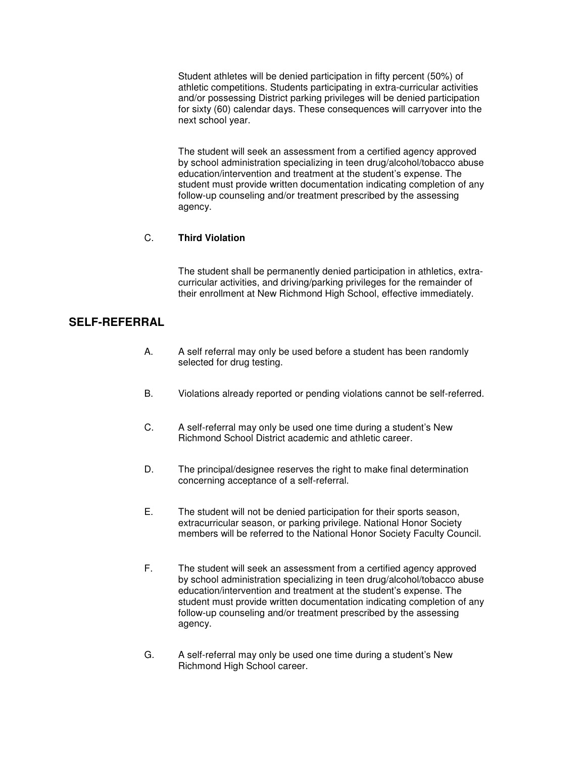Student athletes will be denied participation in fifty percent (50%) of athletic competitions. Students participating in extra-curricular activities and/or possessing District parking privileges will be denied participation for sixty (60) calendar days. These consequences will carryover into the next school year.

 The student will seek an assessment from a certified agency approved by school administration specializing in teen drug/alcohol/tobacco abuse education/intervention and treatment at the student's expense. The student must provide written documentation indicating completion of any follow-up counseling and/or treatment prescribed by the assessing agency.

#### C. **Third Violation**

 The student shall be permanently denied participation in athletics, extracurricular activities, and driving/parking privileges for the remainder of their enrollment at New Richmond High School, effective immediately.

## **SELF-REFERRAL**

- A. A self referral may only be used before a student has been randomly selected for drug testing.
- B. Violations already reported or pending violations cannot be self-referred.
- C. A self-referral may only be used one time during a student's New Richmond School District academic and athletic career.
- D. The principal/designee reserves the right to make final determination concerning acceptance of a self-referral.
- E. The student will not be denied participation for their sports season, extracurricular season, or parking privilege. National Honor Society members will be referred to the National Honor Society Faculty Council.
- F. The student will seek an assessment from a certified agency approved by school administration specializing in teen drug/alcohol/tobacco abuse education/intervention and treatment at the student's expense. The student must provide written documentation indicating completion of any follow-up counseling and/or treatment prescribed by the assessing agency.
- G. A self-referral may only be used one time during a student's New Richmond High School career.